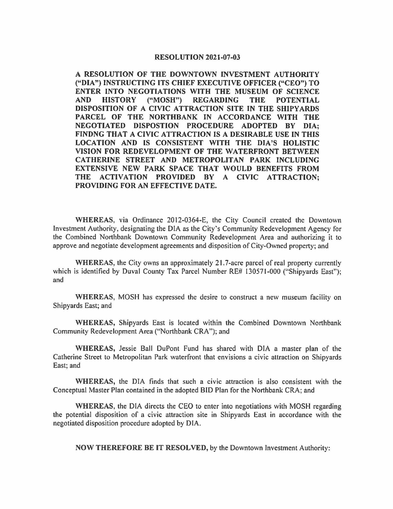## **RESOLUTION 2021-07-03**

**A RESOLUTION OF THE DOWNTOWN INVESTMENT AUTHORITY ("DIA") INSTRUCTING ITS CHIEF EXECUTIVE OFFICER ("CEO") TO ENTER INTO NEGOTIATIONS WITH THE MUSEUM OF SCIENCE AND HISTORY ("MOSH") REGARDING THE POTENTIAL DISPOSITION OF A CIVIC ATTRACTION SITE IN THE SHIPYARDS PARCEL OF THE NORTHBANK IN ACCORDANCE WITH THE NEGOTIATED DISPOSTION PROCEDURE ADOPTED BY DIA; FINDNG THAT A CIVIC ATTRACTION IS A DESIRABLE USE IN THIS LOCATION AND IS CONSISTENT WITH THE DIA'S HOLISTIC VISION FOR REDEVELOPMENT OF THE WATERFRONT BETWEEN CATHERINE STREET AND METROPOLITAN PARK INCLUDING EXTENSIVE NEW PARK SPACE THAT WOULD BENEFITS FROM THE ACTIVATION PROVIDED BY A CIVIC ATTRACTION; PROVIDING FOR AN EFFECTIVE DATE.** 

**WHEREAS,** via Ordinance 2012-0364-E, the City Council created the Downtown Investment Authority, designating the DIA as the City's Community Redevelopment Agency for the Combined Northbank Downtown Community Redevelopment Area and authorizing it to approve and negotiate development agreements and disposition of City-Owned property; and

WHEREAS, the City owns an approximately 21.7-acre parcel of real property currently which is identified by Duval County Tax Parcel Number RE# 130571-000 ("Shipyards East"); and

**WHEREAS,** MOSH has expressed the desire to construct a new museum facility on Shipyards East; and

**WHEREAS,** Shipyards East is located within the Combined Downtown Northbank Community Redevelopment Area ("Northbank CRA"); and

**WHEREAS,** Jessie Ball DuPont Fund has shared with DIA a master plan of the Catherine Street to Metropolitan Park waterfront that envisions a civic attraction on Shipyards East; and

**WHEREAS,** the DIA finds that such a civic attraction is also consistent with the Conceptual Master Plan contained in the adopted BID Plan for the Northbank CRA; and

**WHEREAS,** the DIA directs the CEO to enter into negotiations with MOSH regarding the potential disposition of a civic attraction site in Shipyards East in accordance with the negotiated disposition procedure adopted by DIA.

**NOW THEREFORE BE** IT **RESOLVED,** by the Downtown Investment Authority: